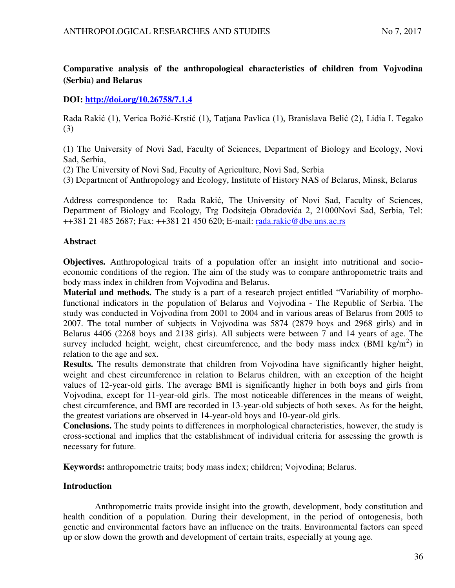# **Comparative analysis of the anthropological characteristics of children from Vojvodina (Serbia) and Belarus**

## **DOI:<http://doi.org/10.26758/7.1.4>**

Rada Rakić (1), Verica Božić-Krstić (1), Tatjana Pavlica (1), Branislava Belić (2), Lidia I. Tegako (3)

(1) The University of Novi Sad, Faculty of Sciences, Department of Biology and Ecology, Novi Sad, Serbia,

(2) The University of Novi Sad, Faculty of Agriculture, Novi Sad, Serbia

(3) Department of Anthropology and Ecology, Institute of History NAS of Belarus, Minsk, Belarus

Address correspondence to: Rada Rakić, The University of Novi Sad, Faculty of Sciences, Department of Biology and Ecology, Trg Dodsiteja Obradovića 2, 21000Novi Sad, Serbia, Tel: ++381 21 485 2687; Fax: ++381 21 450 620; E-mail: [rada.rakic@dbe.uns.ac.rs](mailto:rada.rakic@dbe.uns.ac.rs)

## **Abstract**

**Objectives.** Anthropological traits of a population offer an insight into nutritional and socioeconomic conditions of the region. The aim of the study was to compare anthropometric traits and body mass index in children from Vojvodina and Belarus.

**Material and methods.** The study is a part of a research project entitled "Variability of morphofunctional indicators in the population of Belarus and Vojvodina - The Republic of Serbia. The study was conducted in Vojvodina from 2001 to 2004 and in various areas of Belarus from 2005 to 2007. The total number of subjects in Vojvodina was 5874 (2879 boys and 2968 girls) and in Belarus 4406 (2268 boys and 2138 girls). All subjects were between 7 and 14 years of age. The survey included height, weight, chest circumference, and the body mass index  $(BMI \nvert kg/m^2)$  in relation to the age and sex.

**Results.** The results demonstrate that children from Vojvodina have significantly higher height, weight and chest circumference in relation to Belarus children, with an exception of the height values of 12-year-old girls. The average BMI is significantly higher in both boys and girls from Vojvodina, except for 11-year-old girls. The most noticeable differences in the means of weight, chest circumference, and BMI are recorded in 13-year-old subjects of both sexes. As for the height, the greatest variations are observed in 14-year-old boys and 10-year-old girls.

**Conclusions.** The study points to differences in morphological characteristics, however, the study is cross-sectional and implies that the establishment of individual criteria for assessing the growth is necessary for future.

**Keywords:** anthropometric traits; body mass index; children; Vojvodina; Belarus.

## **Introduction**

Anthropometric traits provide insight into the growth, development, body constitution and health condition of a population. During their development, in the period of ontogenesis, both genetic and environmental factors have an influence on the traits. Environmental factors can speed up or slow down the growth and development of certain traits, especially at young age.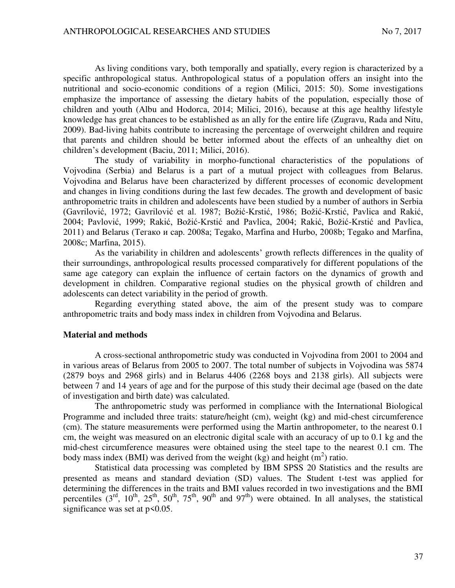As living conditions vary, both temporally and spatially, every region is characterized by a specific anthropological status. Anthropological status of a population offers an insight into the nutritional and socio-economic conditions of a region (Milici, 2015: 50). Some investigations emphasize the importance of assessing the dietary habits of the population, especially those of children and youth (Albu and Hodorca, 2014; Milici, 2016), because at this age healthy lifestyle knowledge has great chances to be established as an ally for the entire life (Zugravu, Rada and Nitu, 2009). Bad-living habits contribute to increasing the percentage of overweight children and require that parents and children should be better informed about the effects of an unhealthy diet on children's development (Baciu, 2011; Milici, 2016).

The study of variability in morpho-functional characteristics of the populations of Vojvodina (Serbia) and Belarus is a part of a mutual project with colleagues from Belarus. Vojvodina and Belarus have been characterized by different processes of economic development and changes in living conditions during the last few decades. The growth and development of basic anthropometric traits in children and adolescents have been studied by a number of authors in Serbia (Gavrilović, 1972; Gavrilović et al. 1987; Božić-Krstić, 1986; Božić-Krstić, Pavlica and Rakić, 2004; Pavlović, 1999; Rakić, Božić-Krstić and Pavlica, 2004; Rakić, Božić-Krstić and Pavlica, 2011) and Belarus (Тегако и сар. 2008a; Tegako, Marfina and Hurbo, 2008b; Tegako and Marfina, 2008c; Marfina, 2015).

As the variability in children and adolescents' growth reflects differences in the quality of their surroundings, anthropological results processed comparatively for different populations of the same age category can explain the influence of certain factors on the dynamics of growth and development in children. Comparative regional studies on the physical growth of children and adolescents can detect variability in the period of growth.

Regarding everything stated above, the aim of the present study was to compare anthropometric traits and body mass index in children from Vojvodina and Belarus.

#### **Material and methods**

A cross-sectional anthropometric study was conducted in Vojvodina from 2001 to 2004 and in various areas of Belarus from 2005 to 2007. The total number of subjects in Vojvodina was 5874 (2879 boys and 2968 girls) and in Belarus 4406 (2268 boys and 2138 girls). All subjects were between 7 and 14 years of age and for the purpose of this study their decimal age (based on the date of investigation and birth date) was calculated.

The anthropometric study was performed in compliance with the International Biological Programme and included three traits: stature/height (cm), weight (kg) and mid-chest circumference (cm). The stature measurements were performed using the Martin anthropometer, to the nearest 0.1 cm, the weight was measured on an electronic digital scale with an accuracy of up to 0.1 kg and the mid-chest circumference measures were obtained using the steel tape to the nearest 0.1 cm. The body mass index (BMI) was derived from the weight  $(kg)$  and height  $(m^2)$  ratio.

Statistical data processing was completed by IBM SPSS 20 Statistics and the results are presented as means and standard deviation (SD) values. The Student t-test was applied for determining the differences in the traits and BMI values recorded in two investigations and the BMI percentiles  $(3^{rd}, 10^{th}, 25^{th}, 50^{th}, 75^{th}, 90^{th}$  and  $97^{th}$ ) were obtained. In all analyses, the statistical significance was set at  $p$  < 0.05.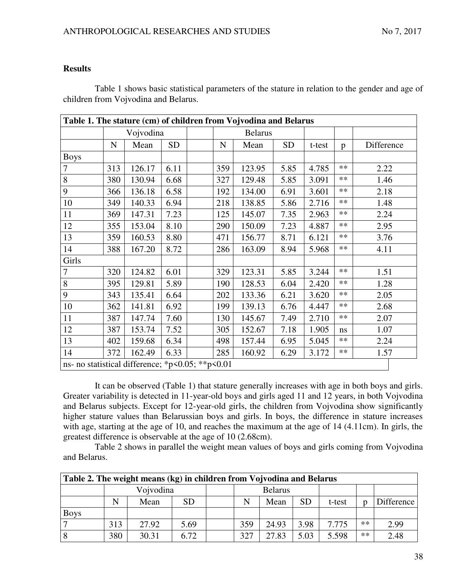### **Results**

Table 1 shows basic statistical parameters of the stature in relation to the gender and age of children from Vojvodina and Belarus.

|                                                  |           |           |           |               | Table 1. The stature (cm) of children from Vojvodina and Belarus |           |        |       |            |
|--------------------------------------------------|-----------|-----------|-----------|---------------|------------------------------------------------------------------|-----------|--------|-------|------------|
|                                                  |           | Vojvodina |           |               | <b>Belarus</b>                                                   |           |        |       |            |
|                                                  | ${\bf N}$ | Mean      | <b>SD</b> | $\mathbf N$   | Mean                                                             | <b>SD</b> | t-test | p     | Difference |
| <b>Boys</b>                                      |           |           |           |               |                                                                  |           |        |       |            |
| 7                                                | 313       | 126.17    | 6.11      | 359           | 123.95                                                           | 5.85      | 4.785  | $***$ | 2.22       |
| 8                                                | 380       | 130.94    | 6.68      | 327           | 129.48                                                           | 5.85      | 3.091  | $***$ | 1.46       |
| 9                                                | 366       | 136.18    | 6.58      | 192           | 134.00                                                           | 6.91      | 3.601  | $**$  | 2.18       |
| 10                                               | 349       | 140.33    | 6.94      | 218           | 138.85                                                           | 5.86      | 2.716  | $***$ | 1.48       |
| 11                                               | 369       | 147.31    | 7.23      | 125           | 145.07                                                           | 7.35      | 2.963  | **    | 2.24       |
| 12                                               | 355       | 153.04    | 8.10      | 290           | 150.09                                                           | 7.23      | 4.887  | $***$ | 2.95       |
| 13                                               | 359       | 160.53    | 8.80      | 471<br>156.77 |                                                                  | 8.71      | 6.121  | $**$  | 3.76       |
| 14                                               | 388       | 167.20    | 8.72      | 286           | 163.09                                                           | 8.94      | 5.968  | $**$  | 4.11       |
| Girls                                            |           |           |           |               |                                                                  |           |        |       |            |
| 7                                                | 320       | 124.82    | 6.01      | 329           | 123.31                                                           | 5.85      | 3.244  | $**$  | 1.51       |
| 8                                                | 395       | 129.81    | 5.89      | 190           | 128.53                                                           | 6.04      | 2.420  | $**$  | 1.28       |
| 9                                                | 343       | 135.41    | 6.64      | 202           | 133.36                                                           | 6.21      | 3.620  | $***$ | 2.05       |
| 10                                               | 362       | 141.81    | 6.92      | 199           | 139.13                                                           | 6.76      | 4.447  | $**$  | 2.68       |
| 11                                               | 387       | 147.74    | 7.60      | 130           | 145.67                                                           | 7.49      | 2.710  | $**$  | 2.07       |
| 12                                               | 387       | 153.74    | 7.52      | 305           | 152.67                                                           | 7.18      | 1.905  | ns    | 1.07       |
| 13                                               | 402       | 159.68    | 6.34      | 498           | 157.44                                                           | 6.95      | 5.045  | $**$  | 2.24       |
| 14                                               | 372       | 162.49    | 6.33      | 285           | 160.92                                                           | 6.29      | 3.172  | $***$ | 1.57       |
| ns- no statistical difference; *p<0.05; **p<0.01 |           |           |           |               |                                                                  |           |        |       |            |

It can be observed (Table 1) that stature generally increases with age in both boys and girls. Greater variability is detected in 11-year-old boys and girls aged 11 and 12 years, in both Vojvodina and Belarus subjects. Except for 12-year-old girls, the children from Vojvodina show significantly higher stature values than Belarussian boys and girls. In boys, the difference in stature increases with age, starting at the age of 10, and reaches the maximum at the age of 14 (4.11cm). In girls, the greatest difference is observable at the age of 10 (2.68cm).

Table 2 shows in parallel the weight mean values of boys and girls coming from Vojvodina and Belarus.

|             | Table 2. The weight means (kg) in children from Vojvodina and Belarus |           |           |  |     |                |           |        |    |            |  |  |  |  |  |
|-------------|-----------------------------------------------------------------------|-----------|-----------|--|-----|----------------|-----------|--------|----|------------|--|--|--|--|--|
|             |                                                                       | Vojvodina |           |  |     | <b>Belarus</b> |           |        |    |            |  |  |  |  |  |
|             | N                                                                     | Mean      | <b>SD</b> |  |     | Mean           | <b>SD</b> | t-test |    | Difference |  |  |  |  |  |
| <b>Boys</b> |                                                                       |           |           |  |     |                |           |        |    |            |  |  |  |  |  |
|             | 313                                                                   | 27.92     | 5.69      |  | 359 | 24.93          | 3.98      | 7.775  | ** | 2.99       |  |  |  |  |  |
| 8           | 380                                                                   | 30.31     | 6.72      |  | 327 | 27.83          | 5.03      | 5.598  | ** | 2.48       |  |  |  |  |  |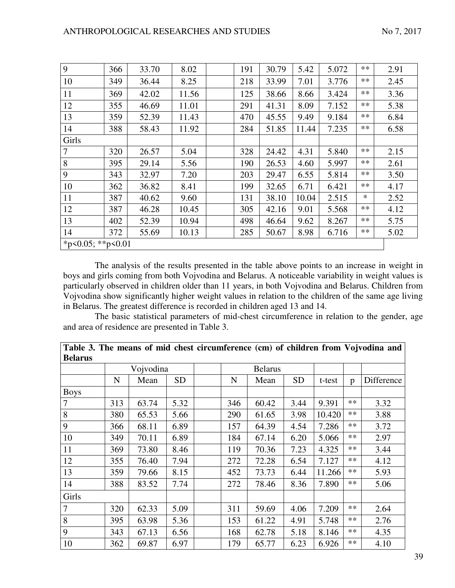| 9                 | 366 | 33.70 | 8.02  | 191 | 30.79 | 5.42  | 5.072 | $***$  | 2.91 |
|-------------------|-----|-------|-------|-----|-------|-------|-------|--------|------|
| 10                | 349 | 36.44 | 8.25  | 218 | 33.99 | 7.01  | 3.776 | $***$  | 2.45 |
| 11                | 369 | 42.02 | 11.56 | 125 | 38.66 | 8.66  | 3.424 | $**$   | 3.36 |
| 12                | 355 | 46.69 | 11.01 | 291 | 41.31 | 8.09  | 7.152 | $**$   | 5.38 |
| 13                | 359 | 52.39 | 11.43 | 470 | 45.55 | 9.49  | 9.184 | $***$  | 6.84 |
| 14                | 388 | 58.43 | 11.92 | 284 | 51.85 | 11.44 | 7.235 | $***$  | 6.58 |
| Girls             |     |       |       |     |       |       |       |        |      |
| $\tau$            | 320 | 26.57 | 5.04  | 328 | 24.42 | 4.31  | 5.840 | $**$   | 2.15 |
| 8                 | 395 | 29.14 | 5.56  | 190 | 26.53 | 4.60  | 5.997 | $**$   | 2.61 |
| 9                 | 343 | 32.97 | 7.20  | 203 | 29.47 | 6.55  | 5.814 | $**$   | 3.50 |
| 10                | 362 | 36.82 | 8.41  | 199 | 32.65 | 6.71  | 6.421 | $**$   | 4.17 |
| 11                | 387 | 40.62 | 9.60  | 131 | 38.10 | 10.04 | 2.515 | $\ast$ | 2.52 |
| 12                | 387 | 46.28 | 10.45 | 305 | 42.16 | 9.01  | 5.568 | $***$  | 4.12 |
| 13                | 402 | 52.39 | 10.94 | 498 | 46.64 | 9.62  | 8.267 | $***$  | 5.75 |
| 14                | 372 | 55.69 | 10.13 | 285 | 50.67 | 8.98  | 6.716 | $***$  | 5.02 |
| *p<0.05; **p<0.01 |     |       |       |     |       |       |       |        |      |

The analysis of the results presented in the table above points to an increase in weight in boys and girls coming from both Vojvodina and Belarus. A noticeable variability in weight values is particularly observed in children older than 11 years, in both Vojvodina and Belarus. Children from Vojvodina show significantly higher weight values in relation to the children of the same age living in Belarus. The greatest difference is recorded in children aged 13 and 14.

The basic statistical parameters of mid-chest circumference in relation to the gender, age and area of residence are presented in Table 3.

| <b>Belarus</b> |             |           |           |     |                |           |        |      |            |
|----------------|-------------|-----------|-----------|-----|----------------|-----------|--------|------|------------|
|                |             | Vojvodina |           |     | <b>Belarus</b> |           |        |      |            |
|                | $\mathbf N$ | Mean      | <b>SD</b> | N   | Mean           | <b>SD</b> | t-test | p    | Difference |
| <b>Boys</b>    |             |           |           |     |                |           |        |      |            |
| $\tau$         | 313         | 63.74     | 5.32      | 346 | 60.42          | 3.44      | 9.391  | $**$ | 3.32       |
| 8              | 380         | 65.53     | 5.66      | 290 | 61.65          | 3.98      | 10.420 | $**$ | 3.88       |
| 9              | 366         | 68.11     | 6.89      | 157 | 64.39          | 4.54      | 7.286  | $**$ | 3.72       |
| 10             | 349         | 70.11     | 6.89      | 184 | 67.14          | 6.20      | 5.066  | $**$ | 2.97       |
| 11             | 369         | 73.80     | 8.46      | 119 | 70.36          | 7.23      | 4.325  | $**$ | 3.44       |
| 12             | 355         | 76.40     | 7.94      | 272 | 72.28          | 6.54      | 7.127  | $**$ | 4.12       |
| 13             | 359         | 79.66     | 8.15      | 452 | 73.73          | 6.44      | 11.266 | $**$ | 5.93       |
| 14             | 388         | 83.52     | 7.74      | 272 | 78.46          | 8.36      | 7.890  | **   | 5.06       |
| Girls          |             |           |           |     |                |           |        |      |            |
| $\tau$         | 320         | 62.33     | 5.09      | 311 | 59.69          | 4.06      | 7.209  | $**$ | 2.64       |
| 8              | 395         | 63.98     | 5.36      | 153 | 61.22          | 4.91      | 5.748  | $**$ | 2.76       |
| 9              | 343         | 67.13     | 6.56      | 168 | 62.78          | 5.18      | 8.146  | $**$ | 4.35       |
| 10             | 362         | 69.87     | 6.97      | 179 | 65.77          | 6.23      | 6.926  | $**$ | 4.10       |

|                |  | Table 3. The means of mid chest circumference (cm) of children from Vojvodina and |  |  |  |
|----------------|--|-----------------------------------------------------------------------------------|--|--|--|
| <b>Belarus</b> |  |                                                                                   |  |  |  |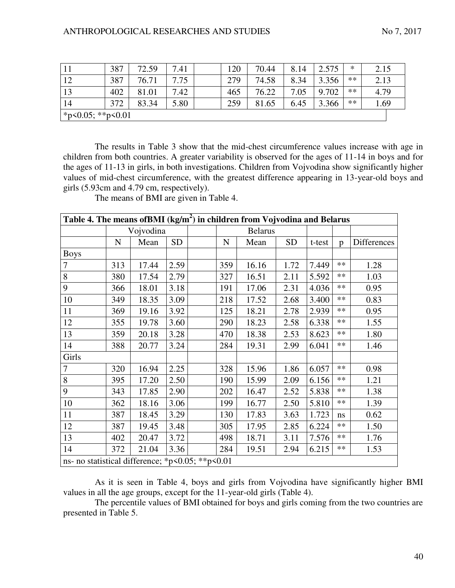|                          | 387 | 72.59 | 7.41 | 120 | 70.44 | 8.14 | 2.575 | ∗    | 2.15 |
|--------------------------|-----|-------|------|-----|-------|------|-------|------|------|
| 12                       | 387 | 76.71 | 7.75 | 279 | 74.58 | 8.34 | 3.356 | $**$ | 2.13 |
| 13                       | 402 | 81.01 | 7.42 | 465 | 76.22 | 7.05 | 9.702 | **   | 4.79 |
| 14                       | 372 | 83.34 | 5.80 | 259 | 81.65 | 6.45 | 3.366 | **   | 1.69 |
| * $p<0.05$ ; ** $p<0.01$ |     |       |      |     |       |      |       |      |      |

The results in Table 3 show that the mid-chest circumference values increase with age in children from both countries. A greater variability is observed for the ages of 11-14 in boys and for the ages of 11-13 in girls, in both investigations. Children from Vojvodina show significantly higher values of mid-chest circumference, with the greatest difference appearing in 13-year-old boys and girls (5.93cm and 4.79 cm, respectively).

The means of BMI are given in Table 4.

| Table 4. The means of BMI $(kg/m^2)$ in children from Vojvodina and Belarus |             |           |           |           |                |           |        |              |             |
|-----------------------------------------------------------------------------|-------------|-----------|-----------|-----------|----------------|-----------|--------|--------------|-------------|
|                                                                             |             | Vojvodina |           |           | <b>Belarus</b> |           |        |              |             |
|                                                                             | $\mathbf N$ | Mean      | <b>SD</b> | ${\bf N}$ | Mean           | <b>SD</b> | t-test | $\mathbf{p}$ | Differences |
| <b>Boys</b>                                                                 |             |           |           |           |                |           |        |              |             |
| $\tau$                                                                      | 313         | 17.44     | 2.59      | 359       | 16.16          | 1.72      | 7.449  | $**$         | 1.28        |
| 8                                                                           | 380         | 17.54     | 2.79      | 327       | 16.51          | 2.11      | 5.592  | **           | 1.03        |
| 9                                                                           | 366         | 18.01     | 3.18      | 191       | 17.06          | 2.31      | 4.036  | **           | 0.95        |
| 10                                                                          | 349         | 18.35     | 3.09      | 218       | 17.52          | 2.68      | 3.400  | **           | 0.83        |
| 11                                                                          | 369         | 19.16     | 3.92      | 125       | 18.21          | 2.78      | 2.939  | **           | 0.95        |
| 12                                                                          | 355         | 19.78     | 3.60      | 290       | 18.23          | 2.58      | 6.338  | **           | 1.55        |
| 13                                                                          | 359         | 20.18     | 3.28      | 470       | 18.38          | 2.53      | 8.623  | **           | 1.80        |
| 14                                                                          | 388         | 20.77     | 3.24      | 284       | 19.31          | 2.99      | 6.041  | **           | 1.46        |
| Girls                                                                       |             |           |           |           |                |           |        |              |             |
| 7                                                                           | 320         | 16.94     | 2.25      | 328       | 15.96          | 1.86      | 6.057  | **           | 0.98        |
| 8                                                                           | 395         | 17.20     | 2.50      | 190       | 15.99          | 2.09      | 6.156  | **           | 1.21        |
| 9                                                                           | 343         | 17.85     | 2.90      | 202       | 16.47          | 2.52      | 5.838  | **           | 1.38        |
| 10                                                                          | 362         | 18.16     | 3.06      | 199       | 16.77          | 2.50      | 5.810  | **           | 1.39        |
| 11                                                                          | 387         | 18.45     | 3.29      | 130       | 17.83          | 3.63      | 1.723  | ns           | 0.62        |
| 12                                                                          | 387         | 19.45     | 3.48      | 305       | 17.95          | 2.85      | 6.224  | **           | 1.50        |
| 13                                                                          | 402         | 20.47     | 3.72      | 498       | 18.71          | 3.11      | 7.576  | **           | 1.76        |
| 14                                                                          | 372         | 21.04     | 3.36      | 284       | 19.51          | 2.94      | 6.215  | $**$         | 1.53        |
| ns- no statistical difference; *p<0.05; **p<0.01                            |             |           |           |           |                |           |        |              |             |

As it is seen in Table 4, boys and girls from Vojvodina have significantly higher BMI values in all the age groups, except for the 11-year-old girls (Table 4).

The percentile values of BMI obtained for boys and girls coming from the two countries are presented in Table 5.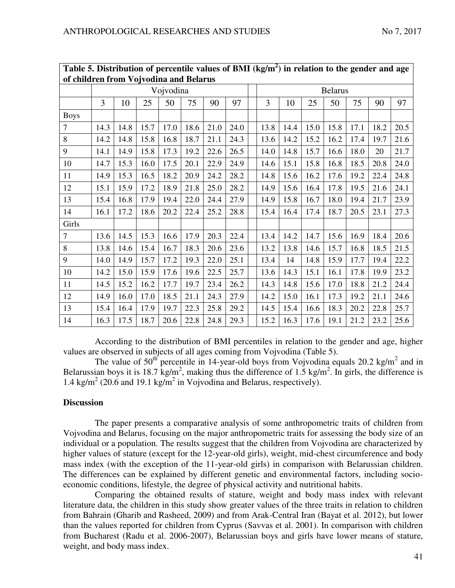| Table 5. Distribution of percentile values of BMI $(kg/m2)$ in relation to the gender and age |      |      |      |           |      |      |      |                |      |      |      |      |      |      |
|-----------------------------------------------------------------------------------------------|------|------|------|-----------|------|------|------|----------------|------|------|------|------|------|------|
| of children from Vojvodina and Belarus                                                        |      |      |      |           |      |      |      |                |      |      |      |      |      |      |
|                                                                                               |      |      |      | Vojvodina |      |      |      | <b>Belarus</b> |      |      |      |      |      |      |
|                                                                                               | 3    | 10   | 25   | 50        | 75   | 90   | 97   | 3              | 10   | 25   | 50   | 75   | 90   | 97   |
| <b>Boys</b>                                                                                   |      |      |      |           |      |      |      |                |      |      |      |      |      |      |
| 7                                                                                             | 14.3 | 14.8 | 15.7 | 17.0      | 18.6 | 21.0 | 24.0 | 13.8           | 14.4 | 15.0 | 15.8 | 17.1 | 18.2 | 20.5 |
| 8                                                                                             | 14.2 | 14.8 | 15.8 | 16.8      | 18.7 | 21.1 | 24.3 | 13.6           | 14.2 | 15.2 | 16.2 | 17.4 | 19.7 | 21.6 |
| 9                                                                                             | 14.1 | 14.9 | 15.8 | 17.3      | 19.2 | 22.6 | 26.5 | 14.0           | 14.8 | 15.7 | 16.6 | 18.0 | 20   | 21.7 |
| 10                                                                                            | 14.7 | 15.3 | 16.0 | 17.5      | 20.1 | 22.9 | 24.9 | 14.6           | 15.1 | 15.8 | 16.8 | 18.5 | 20.8 | 24.0 |
| 11                                                                                            | 14.9 | 15.3 | 16.5 | 18.2      | 20.9 | 24.2 | 28.2 | 14.8           | 15.6 | 16.2 | 17.6 | 19.2 | 22.4 | 24.8 |
| 12                                                                                            | 15.1 | 15.9 | 17.2 | 18.9      | 21.8 | 25.0 | 28.2 | 14.9           | 15.6 | 16.4 | 17.8 | 19.5 | 21.6 | 24.1 |
| 13                                                                                            | 15.4 | 16.8 | 17.9 | 19.4      | 22.0 | 24.4 | 27.9 | 14.9           | 15.8 | 16.7 | 18.0 | 19.4 | 21.7 | 23.9 |
| 14                                                                                            | 16.1 | 17.2 | 18.6 | 20.2      | 22.4 | 25.2 | 28.8 | 15.4           | 16.4 | 17.4 | 18.7 | 20.5 | 23.1 | 27.3 |
| Girls                                                                                         |      |      |      |           |      |      |      |                |      |      |      |      |      |      |
| $\overline{7}$                                                                                | 13.6 | 14.5 | 15.3 | 16.6      | 17.9 | 20.3 | 22.4 | 13.4           | 14.2 | 14.7 | 15.6 | 16.9 | 18.4 | 20.6 |
| 8                                                                                             | 13.8 | 14.6 | 15.4 | 16.7      | 18.3 | 20.6 | 23.6 | 13.2           | 13.8 | 14.6 | 15.7 | 16.8 | 18.5 | 21.5 |
| 9                                                                                             | 14.0 | 14.9 | 15.7 | 17.2      | 19.3 | 22.0 | 25.1 | 13.4           | 14   | 14.8 | 15.9 | 17.7 | 19.4 | 22.2 |
| 10                                                                                            | 14.2 | 15.0 | 15.9 | 17.6      | 19.6 | 22.5 | 25.7 | 13.6           | 14.3 | 15.1 | 16.1 | 17.8 | 19.9 | 23.2 |
| 11                                                                                            | 14.5 | 15.2 | 16.2 | 17.7      | 19.7 | 23.4 | 26.2 | 14.3           | 14.8 | 15.6 | 17.0 | 18.8 | 21.2 | 24.4 |
| 12                                                                                            | 14.9 | 16.0 | 17.0 | 18.5      | 21.1 | 24.3 | 27.9 | 14.2           | 15.0 | 16.1 | 17.3 | 19.2 | 21.1 | 24.6 |
| 13                                                                                            | 15.4 | 16.4 | 17.9 | 19.7      | 22.3 | 25.8 | 29.2 | 14.5           | 15.4 | 16.6 | 18.3 | 20.2 | 22.8 | 25.7 |
| 14                                                                                            | 16.3 | 17.5 | 18.7 | 20.6      | 22.8 | 24.8 | 29.3 | 15.2           | 16.3 | 17.6 | 19.1 | 21.2 | 23.2 | 25.6 |

According to the distribution of BMI percentiles in relation to the gender and age, higher values are observed in subjects of all ages coming from Vojvodina (Table 5).

The value of  $50^{th}$  percentile in 14-year-old boys from Vojvodina equals 20.2 kg/m<sup>2</sup> and in Belarussian boys it is 18.7 kg/m<sup>2</sup>, making thus the difference of 1.5 kg/m<sup>2</sup>. In girls, the difference is 1.4 kg/m<sup>2</sup> (20.6 and 19.1 kg/m<sup>2</sup> in Vojvodina and Belarus, respectively).

### **Discussion**

The paper presents a comparative analysis of some anthropometric traits of children from Vojvodina and Belarus, focusing on the major anthropometric traits for assessing the body size of an individual or a population. The results suggest that the children from Vojvodina are characterized by higher values of stature (except for the 12-year-old girls), weight, mid-chest circumference and body mass index (with the exception of the 11-year-old girls) in comparison with Belarussian children. The differences can be explained by different genetic and environmental factors, including socioeconomic conditions, lifestyle, the degree of physical activity and nutritional habits.

Comparing the obtained results of stature, weight and body mass index with relevant literature data, the children in this study show greater values of the three traits in relation to children from Bahrain (Gharib and Rasheed, 2009) and from Arak-Central Iran (Bayat et al. 2012), but lower than the values reported for children from Cyprus (Savvas et al. 2001). In comparison with children from Bucharest (Radu et al. 2006-2007), Belarussian boys and girls have lower means of stature, weight, and body mass index.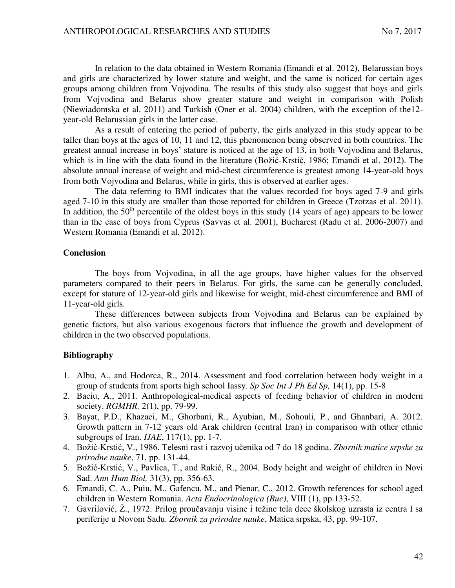In relation to the data obtained in Western Romania (Emandi et al. 2012), Belarussian boys and girls are characterized by lower stature and weight, and the same is noticed for certain ages groups among children from Vojvodina. The results of this study also suggest that boys and girls from Vojvodina and Belarus show greater stature and weight in comparison with Polish (Niewiadomska et al. 2011) and Turkish (Oner et al. 2004) children, with the exception of the12 year-old Belarussian girls in the latter case.

As a result of entering the period of puberty, the girls analyzed in this study appear to be taller than boys at the ages of 10, 11 and 12, this phenomenon being observed in both countries. The greatest annual increase in boys' stature is noticed at the age of 13, in both Vojvodina and Belarus, which is in line with the data found in the literature (Božić-Krstić, 1986; Emandi et al. 2012). The absolute annual increase of weight and mid-chest circumference is greatest among 14-year-old boys from both Vojvodina and Belarus, while in girls, this is observed at earlier ages.

The data referring to BMI indicates that the values recorded for boys aged 7-9 and girls aged 7-10 in this study are smaller than those reported for children in Greece (Tzotzas et al. 2011). In addition, the  $50<sup>th</sup>$  percentile of the oldest boys in this study (14 years of age) appears to be lower than in the case of boys from Cyprus (Savvas et al. 2001), Bucharest (Radu et al. 2006-2007) and Western Romania (Emandi et al. 2012).

#### **Conclusion**

The boys from Vojvodina, in all the age groups, have higher values for the observed parameters compared to their peers in Belarus. For girls, the same can be generally concluded, except for stature of 12-year-old girls and likewise for weight, mid-chest circumference and BMI of 11-year-old girls.

These differences between subjects from Vojvodina and Belarus can be explained by genetic factors, but also various exogenous factors that influence the growth and development of children in the two observed populations.

### **Bibliography**

- 1. Albu, A., and Hodorca, R., 2014. Assessment and food correlation between body weight in a group of students from sports high school Iassy. *Sp Soc Int J Ph Ed Sp,* 14(1), pp. 15-8
- 2. Baciu, A., 2011. Anthropological-medical aspects of feeding behavior of children in modern society. *RGMHR,* 2(1), pp. 79-99.
- 3. Bayat, P.D., Khazaei, M., Ghorbani, R., Ayubian, M., Sohouli, P., and Ghanbari, A. 2012. Growth pattern in 7-12 years old Arak children (central Iran) in comparison with other ethnic subgroups of Iran. *IJAE*, 117(1), pp. 1-7.
- 4. Božić-Krstić, V., 1986. Telesni rast i razvoj učenika od 7 do 18 godina. *Zbornik matice srpske za prirodne nauke*, 71, pp. 131-44.
- 5. Božić-Krstić, V., Pavlica, T., and Rakić, R., 2004. Body height and weight of children in Novi Sad. *Ann Hum Biol,* 31(3), pp. 356-63.
- 6. Emandi, C. A., Puiu, M., Gafencu, M., and Pienar, C., 2012. Growth references for school aged children in Western Romania. *Acta Endocrinologica (Buc)*, VIII (1), pp.133-52.
- 7. Gavrilović, Ž., 1972. Prilog proučavanju visine i težine tela dece školskog uzrasta iz centra I sa periferije u Novom Sadu. *Zbornik za prirodne nauke*, Matica srpska, 43, pp. 99-107.